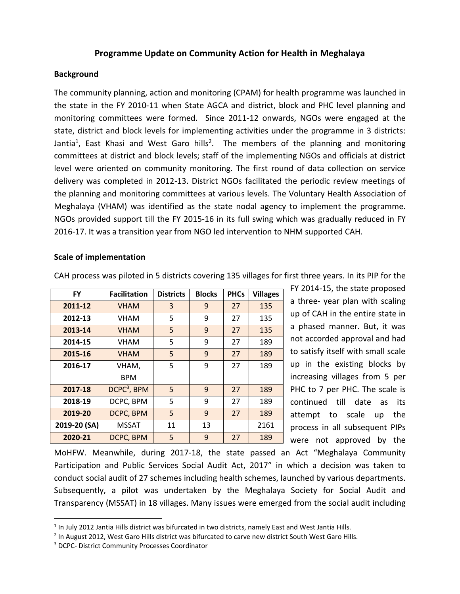## **Programme Update on Community Action for Health in Meghalaya**

### **Background**

The community planning, action and monitoring (CPAM) for health programme was launched in the state in the FY 2010-11 when State AGCA and district, block and PHC level planning and monitoring committees were formed. Since 2011-12 onwards, NGOs were engaged at the state, district and block levels for implementing activities under the programme in 3 districts: Jantia<sup>1</sup>, East Khasi and West Garo hills<sup>2</sup>. The members of the planning and monitoring committees at district and block levels; staff of the implementing NGOs and officials at district level were oriented on community monitoring. The first round of data collection on service delivery was completed in 2012-13. District NGOs facilitated the periodic review meetings of the planning and monitoring committees at various levels. The Voluntary Health Association of Meghalaya (VHAM) was identified as the state nodal agency to implement the programme. NGOs provided support till the FY 2015-16 in its full swing which was gradually reduced in FY 2016-17. It was a transition year from NGO led intervention to NHM supported CAH.

#### **Scale of implementation**

| <b>FY</b>    | <b>Facilitation</b>     | <b>Districts</b> | <b>Blocks</b> | <b>PHCs</b> | <b>Villages</b> |
|--------------|-------------------------|------------------|---------------|-------------|-----------------|
| 2011-12      | <b>VHAM</b>             | 3                | 9             | 27          | 135             |
| 2012-13      | <b>VHAM</b>             | 5                | 9             | 27          | 135             |
| 2013-14      | <b>VHAM</b>             | 5                | 9             | 27          | 135             |
| 2014-15      | <b>VHAM</b>             | 5                | 9             | 27          | 189             |
| 2015-16      | <b>VHAM</b>             | 5                | 9             | 27          | 189             |
| 2016-17      | VHAM,                   | 5                | 9             | 27          | 189             |
|              | <b>BPM</b>              |                  |               |             |                 |
| 2017-18      | DCPC <sup>3</sup> , BPM | 5                | 9             | 27          | 189             |
| 2018-19      | DCPC, BPM               | 5                | 9             | 27          | 189             |
| 2019-20      | DCPC, BPM               | 5                | 9             | 27          | 189             |
| 2019-20 (SA) | <b>MSSAT</b>            | 11               | 13            |             | 2161            |
| 2020-21      | DCPC, BPM               | 5                | 9             | 27          | 189             |

CAH process was piloted in 5 districts covering 135 villages for first three years. In its PIP for the

FY 2014-15, the state proposed a three- year plan with scaling up of CAH in the entire state in a phased manner. But, it was not accorded approval and had to satisfy itself with small scale up in the existing blocks by increasing villages from 5 per PHC to 7 per PHC. The scale is continued till date as its attempt to scale up the process in all subsequent PIPs were not approved by the

MoHFW. Meanwhile, during 2017-18, the state passed an Act "Meghalaya Community Participation and Public Services Social Audit Act, 2017" in which a decision was taken to conduct social audit of 27 schemes including health schemes, launched by various departments. Subsequently, a pilot was undertaken by the Meghalaya Society for Social Audit and Transparency (MSSAT) in 18 villages. Many issues were emerged from the social audit including

 $\overline{\phantom{a}}$ 

 $<sup>1</sup>$  In July 2012 Jantia Hills district was bifurcated in two districts, namely East and West Jantia Hills.</sup>

<sup>&</sup>lt;sup>2</sup> In August 2012, West Garo Hills district was bifurcated to carve new district South West Garo Hills.

<sup>3</sup> DCPC- District Community Processes Coordinator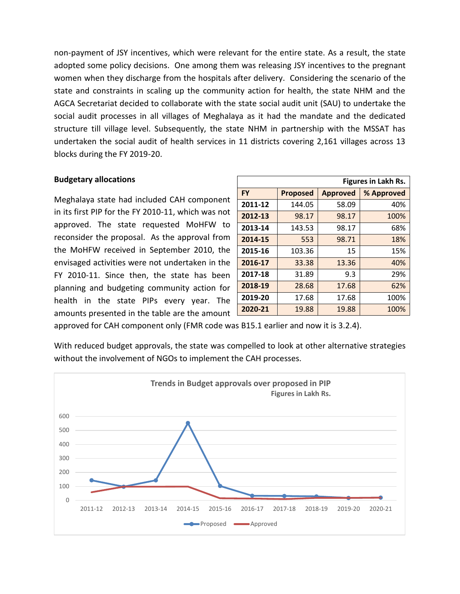non-payment of JSY incentives, which were relevant for the entire state. As a result, the state adopted some policy decisions. One among them was releasing JSY incentives to the pregnant women when they discharge from the hospitals after delivery. Considering the scenario of the state and constraints in scaling up the community action for health, the state NHM and the AGCA Secretariat decided to collaborate with the state social audit unit (SAU) to undertake the social audit processes in all villages of Meghalaya as it had the mandate and the dedicated structure till village level. Subsequently, the state NHM in partnership with the MSSAT has undertaken the social audit of health services in 11 districts covering 2,161 villages across 13 blocks during the FY 2019-20.

## **Budgetary allocations**

Meghalaya state had included CAH component in its first PIP for the FY 2010-11, which was not approved. The state requested MoHFW to reconsider the proposal. As the approval from the MoHFW received in September 2010, the envisaged activities were not undertaken in the FY 2010-11. Since then, the state has been planning and budgeting community action for health in the state PIPs every year. The amounts presented in the table are the amount

| <b>Figures in Lakh Rs.</b> |                 |                 |            |  |  |
|----------------------------|-----------------|-----------------|------------|--|--|
| <b>FY</b>                  | <b>Proposed</b> | <b>Approved</b> | % Approved |  |  |
| 2011-12                    | 144.05          | 58.09           | 40%        |  |  |
| 2012-13                    | 98.17           | 98.17           | 100%       |  |  |
| 2013-14                    | 143.53          | 98.17           | 68%        |  |  |
| 2014-15                    | 553             | 98.71           | 18%        |  |  |
| 2015-16                    | 103.36          | 15              | 15%        |  |  |
| 2016-17                    | 33.38           | 13.36           | 40%        |  |  |
| 2017-18                    | 31.89           | 9.3             | 29%        |  |  |
| 2018-19                    | 28.68           | 17.68           | 62%        |  |  |
| 2019-20                    | 17.68           | 17.68           | 100%       |  |  |
| 2020-21                    | 19.88           | 19.88           | 100%       |  |  |

approved for CAH component only (FMR code was B15.1 earlier and now it is 3.2.4).

With reduced budget approvals, the state was compelled to look at other alternative strategies without the involvement of NGOs to implement the CAH processes.

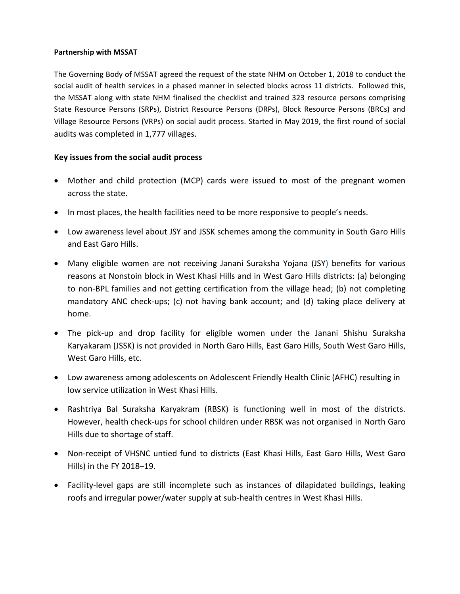#### **Partnership with MSSAT**

The Governing Body of MSSAT agreed the request of the state NHM on October 1, 2018 to conduct the social audit of health services in a phased manner in selected blocks across 11 districts. Followed this, the MSSAT along with state NHM finalised the checklist and trained 323 resource persons comprising State Resource Persons (SRPs), District Resource Persons (DRPs), Block Resource Persons (BRCs) and Village Resource Persons (VRPs) on social audit process. Started in May 2019, the first round of social audits was completed in 1,777 villages.

## **Key issues from the social audit process**

- Mother and child protection (MCP) cards were issued to most of the pregnant women across the state.
- In most places, the health facilities need to be more responsive to people's needs.
- Low awareness level about JSY and JSSK schemes among the community in South Garo Hills and East Garo Hills.
- Many eligible women are not receiving Janani Suraksha Yojana (JSY) benefits for various reasons at Nonstoin block in West Khasi Hills and in West Garo Hills districts: (a) belonging to non-BPL families and not getting certification from the village head; (b) not completing mandatory ANC check-ups; (c) not having bank account; and (d) taking place delivery at home.
- The pick-up and drop facility for eligible women under the Janani Shishu Suraksha Karyakaram (JSSK) is not provided in North Garo Hills, East Garo Hills, South West Garo Hills, West Garo Hills, etc.
- Low awareness among adolescents on Adolescent Friendly Health Clinic (AFHC) resulting in low service utilization in West Khasi Hills.
- Rashtriya Bal Suraksha Karyakram (RBSK) is functioning well in most of the districts. However, health check-ups for school children under RBSK was not organised in North Garo Hills due to shortage of staff.
- Non-receipt of VHSNC untied fund to districts (East Khasi Hills, East Garo Hills, West Garo Hills) in the FY 2018–19.
- Facility-level gaps are still incomplete such as instances of dilapidated buildings, leaking roofs and irregular power/water supply at sub-health centres in West Khasi Hills.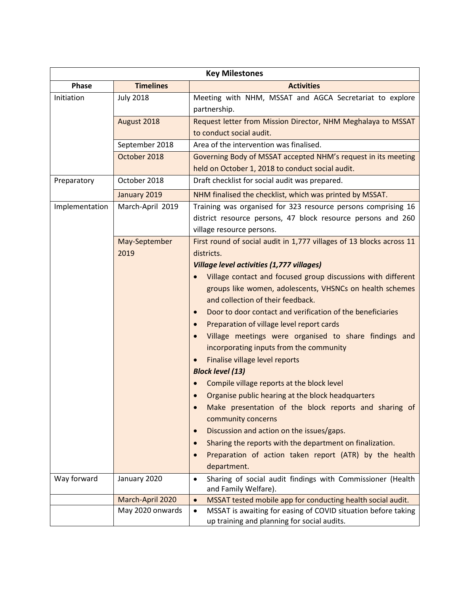| <b>Key Milestones</b> |                       |                                                                                                                           |  |  |  |  |
|-----------------------|-----------------------|---------------------------------------------------------------------------------------------------------------------------|--|--|--|--|
| Phase                 | <b>Timelines</b>      | <b>Activities</b>                                                                                                         |  |  |  |  |
| Initiation            | <b>July 2018</b>      | Meeting with NHM, MSSAT and AGCA Secretariat to explore<br>partnership.                                                   |  |  |  |  |
|                       | August 2018           | Request letter from Mission Director, NHM Meghalaya to MSSAT                                                              |  |  |  |  |
|                       |                       | to conduct social audit.                                                                                                  |  |  |  |  |
|                       | September 2018        | Area of the intervention was finalised.                                                                                   |  |  |  |  |
|                       | October 2018          | Governing Body of MSSAT accepted NHM's request in its meeting                                                             |  |  |  |  |
|                       |                       | held on October 1, 2018 to conduct social audit.                                                                          |  |  |  |  |
| Preparatory           | October 2018          | Draft checklist for social audit was prepared.                                                                            |  |  |  |  |
|                       | January 2019          | NHM finalised the checklist, which was printed by MSSAT.                                                                  |  |  |  |  |
| Implementation        | March-April 2019      | Training was organised for 323 resource persons comprising 16                                                             |  |  |  |  |
|                       |                       | district resource persons, 47 block resource persons and 260                                                              |  |  |  |  |
|                       |                       | village resource persons.                                                                                                 |  |  |  |  |
|                       | May-September<br>2019 | First round of social audit in 1,777 villages of 13 blocks across 11<br>districts.                                        |  |  |  |  |
|                       |                       | <b>Village level activities (1,777 villages)</b>                                                                          |  |  |  |  |
|                       |                       | Village contact and focused group discussions with different                                                              |  |  |  |  |
|                       |                       | groups like women, adolescents, VHSNCs on health schemes                                                                  |  |  |  |  |
|                       |                       | and collection of their feedback.                                                                                         |  |  |  |  |
|                       |                       | Door to door contact and verification of the beneficiaries<br>$\bullet$                                                   |  |  |  |  |
|                       |                       | Preparation of village level report cards<br>$\bullet$                                                                    |  |  |  |  |
|                       |                       | Village meetings were organised to share findings and<br>incorporating inputs from the community                          |  |  |  |  |
|                       |                       | Finalise village level reports                                                                                            |  |  |  |  |
|                       |                       | <b>Block level (13)</b>                                                                                                   |  |  |  |  |
|                       |                       | Compile village reports at the block level                                                                                |  |  |  |  |
|                       |                       | Organise public hearing at the block headquarters                                                                         |  |  |  |  |
|                       |                       | Make presentation of the block reports and sharing of<br>$\bullet$<br>community concerns                                  |  |  |  |  |
|                       |                       | Discussion and action on the issues/gaps.<br>$\bullet$                                                                    |  |  |  |  |
|                       |                       | Sharing the reports with the department on finalization.<br>$\bullet$                                                     |  |  |  |  |
|                       |                       | Preparation of action taken report (ATR) by the health                                                                    |  |  |  |  |
|                       |                       | department.                                                                                                               |  |  |  |  |
| Way forward           | January 2020          | Sharing of social audit findings with Commissioner (Health<br>$\bullet$<br>and Family Welfare).                           |  |  |  |  |
|                       | March-April 2020      | MSSAT tested mobile app for conducting health social audit.<br>$\bullet$                                                  |  |  |  |  |
|                       | May 2020 onwards      | MSSAT is awaiting for easing of COVID situation before taking<br>$\bullet$<br>up training and planning for social audits. |  |  |  |  |